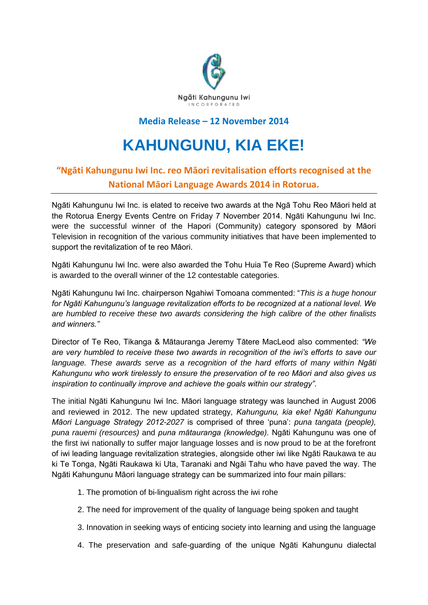

## **Media Release – 12 November 2014**

## **KAHUNGUNU, KIA EKE!**

## **"Ngāti Kahungunu Iwi Inc. reo Māori revitalisation efforts recognised at the National Māori Language Awards 2014 in Rotorua.**

Ngāti Kahungunu Iwi Inc. is elated to receive two awards at the Ngā Tohu Reo Māori held at the Rotorua Energy Events Centre on Friday 7 November 2014. Ngāti Kahungunu Iwi Inc. were the successful winner of the Hapori (Community) category sponsored by Māori Television in recognition of the various community initiatives that have been implemented to support the revitalization of te reo Māori.

Ngāti Kahungunu Iwi Inc. were also awarded the Tohu Huia Te Reo (Supreme Award) which is awarded to the overall winner of the 12 contestable categories.

Ngāti Kahungunu Iwi Inc. chairperson Ngahiwi Tomoana commented: "*This is a huge honour for Ngāti Kahungunu's language revitalization efforts to be recognized at a national level. We are humbled to receive these two awards considering the high calibre of the other finalists and winners."*

Director of Te Reo, Tikanga & Mātauranga Jeremy Tātere MacLeod also commented: *"We are very humbled to receive these two awards in recognition of the iwi's efforts to save our*  language. These awards serve as a recognition of the hard efforts of many within Ngāti *Kahungunu who work tirelessly to ensure the preservation of te reo Māori and also gives us inspiration to continually improve and achieve the goals within our strategy"*.

The initial Ngāti Kahungunu Iwi Inc. Māori language strategy was launched in August 2006 and reviewed in 2012. The new updated strategy, *Kahungunu, kia eke! Ngāti Kahungunu Māori Language Strategy 2012-2027* is comprised of three 'puna': *puna tangata (people), puna rauemi (resources)* and *puna mātauranga (knowledge).* Ngāti Kahungunu was one of the first iwi nationally to suffer major language losses and is now proud to be at the forefront of iwi leading language revitalization strategies, alongside other iwi like Ngāti Raukawa te au ki Te Tonga, Ngāti Raukawa ki Uta, Taranaki and Ngāi Tahu who have paved the way. The Ngāti Kahungunu Māori language strategy can be summarized into four main pillars:

- 1. The promotion of bi-lingualism right across the iwi rohe
- 2. The need for improvement of the quality of language being spoken and taught
- 3. Innovation in seeking ways of enticing society into learning and using the language
- 4. The preservation and safe-guarding of the unique Ngāti Kahungunu dialectal